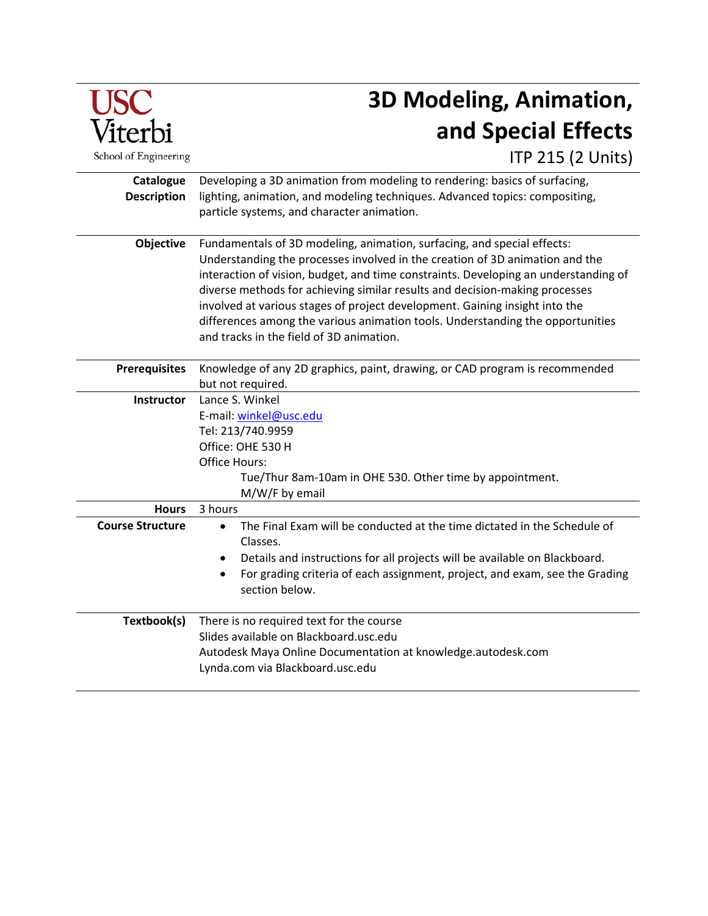

# **3D Modeling, Animation, and Special Effects**

ITP 215 (2 Units)

**Catalogue Description** Developing a 3D animation from modeling to rendering: basics of surfacing, lighting, animation, and modeling techniques. Advanced topics: compositing, particle systems, and character animation. **Objective** Fundamentals of 3D modeling, animation, surfacing, and special effects: Understanding the processes involved in the creation of 3D animation and the interaction of vision, budget, and time constraints. Developing an understanding of diverse methods for achieving similar results and decision-making processes involved at various stages of project development. Gaining insight into the differences among the various animation tools. Understanding the opportunities and tracks in the field of 3D animation. **Prerequisites** Knowledge of any 2D graphics, paint, drawing, or CAD program is recommended but not required. **Instructor** Lance S. Winkel E-mail: [winkel@usc.edu](mailto:winkel@usc.edu) Tel: 213/740.9959 Office: OHE 530 H Office Hours: Tue/Thur 8am-10am in OHE 530. Other time by appointment. M/W/F by email **Hours** 3 hours **Course Structure** • The Final Exam will be conducted at the time dictated in the Schedule of Classes. • Details and instructions for all projects will be available on Blackboard. • For grading criteria of each assignment, project, and exam, see the Grading section below. **Textbook(s)** There is no required text for the course Slides available on Blackboard.usc.edu Autodesk Maya Online Documentation at knowledge.autodesk.com Lynda.com via Blackboard.usc.edu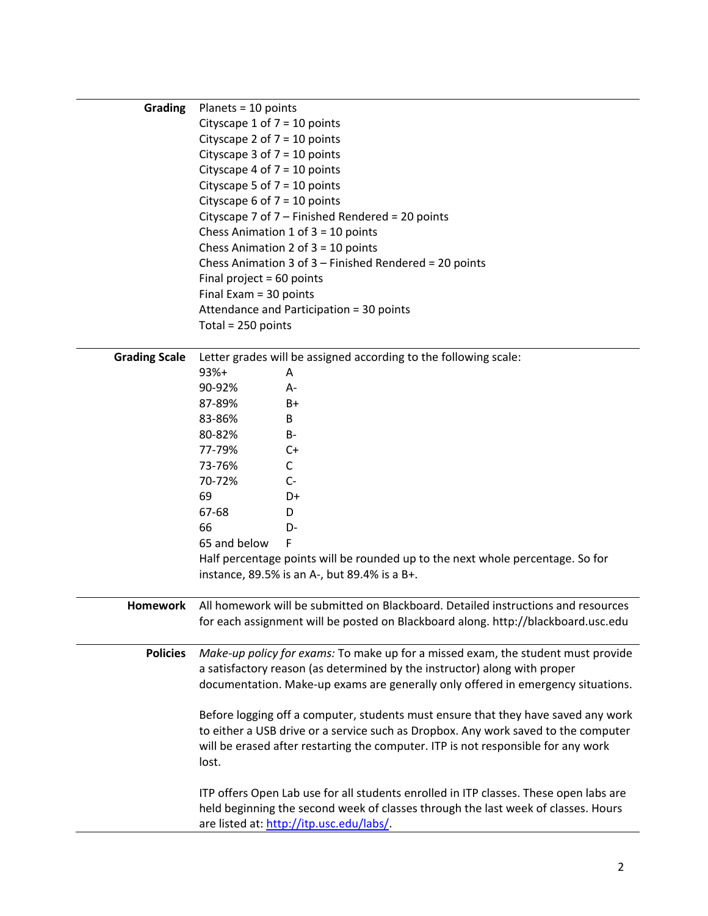| <b>Grading</b>       | Planets = $10$ points                                                                 |
|----------------------|---------------------------------------------------------------------------------------|
|                      | Cityscape 1 of $7 = 10$ points                                                        |
|                      | Cityscape 2 of $7 = 10$ points                                                        |
|                      | Cityscape 3 of $7 = 10$ points                                                        |
|                      | Cityscape 4 of $7 = 10$ points                                                        |
|                      | Cityscape 5 of $7 = 10$ points                                                        |
|                      | Cityscape 6 of $7 = 10$ points                                                        |
|                      | Cityscape 7 of 7 - Finished Rendered = 20 points                                      |
|                      | Chess Animation 1 of $3 = 10$ points                                                  |
|                      | Chess Animation 2 of $3 = 10$ points                                                  |
|                      | Chess Animation 3 of $3$ – Finished Rendered = 20 points                              |
|                      | Final project = $60$ points                                                           |
|                      | Final Exam = 30 points                                                                |
|                      | Attendance and Participation = 30 points                                              |
|                      | Total = 250 points                                                                    |
|                      |                                                                                       |
| <b>Grading Scale</b> | Letter grades will be assigned according to the following scale:                      |
|                      | $93%+$<br>A                                                                           |
|                      | 90-92%<br>A-                                                                          |
|                      | 87-89%<br>B+                                                                          |
|                      | 83-86%<br>B                                                                           |
|                      | 80-82%<br>$B -$                                                                       |
|                      | 77-79%<br>C+                                                                          |
|                      |                                                                                       |
|                      | 73-76%<br>C                                                                           |
|                      | 70-72%<br>$C-$                                                                        |
|                      | 69<br>D+                                                                              |
|                      | 67-68<br>D                                                                            |
|                      | 66<br>D-                                                                              |
|                      | F<br>65 and below                                                                     |
|                      | Half percentage points will be rounded up to the next whole percentage. So for        |
|                      | instance, 89.5% is an A-, but 89.4% is a B+.                                          |
|                      |                                                                                       |
| <b>Homework</b>      | All homework will be submitted on Blackboard. Detailed instructions and resources     |
|                      | for each assignment will be posted on Blackboard along. http://blackboard.usc.edu     |
|                      |                                                                                       |
| <b>Policies</b>      | Make-up policy for exams: To make up for a missed exam, the student must provide      |
|                      | a satisfactory reason (as determined by the instructor) along with proper             |
|                      | documentation. Make-up exams are generally only offered in emergency situations.      |
|                      |                                                                                       |
|                      | Before logging off a computer, students must ensure that they have saved any work     |
|                      | to either a USB drive or a service such as Dropbox. Any work saved to the computer    |
|                      | will be erased after restarting the computer. ITP is not responsible for any work     |
|                      | lost.                                                                                 |
|                      |                                                                                       |
|                      | ITP offers Open Lab use for all students enrolled in ITP classes. These open labs are |
|                      | held beginning the second week of classes through the last week of classes. Hours     |
|                      | are listed at: http://itp.usc.edu/labs/.                                              |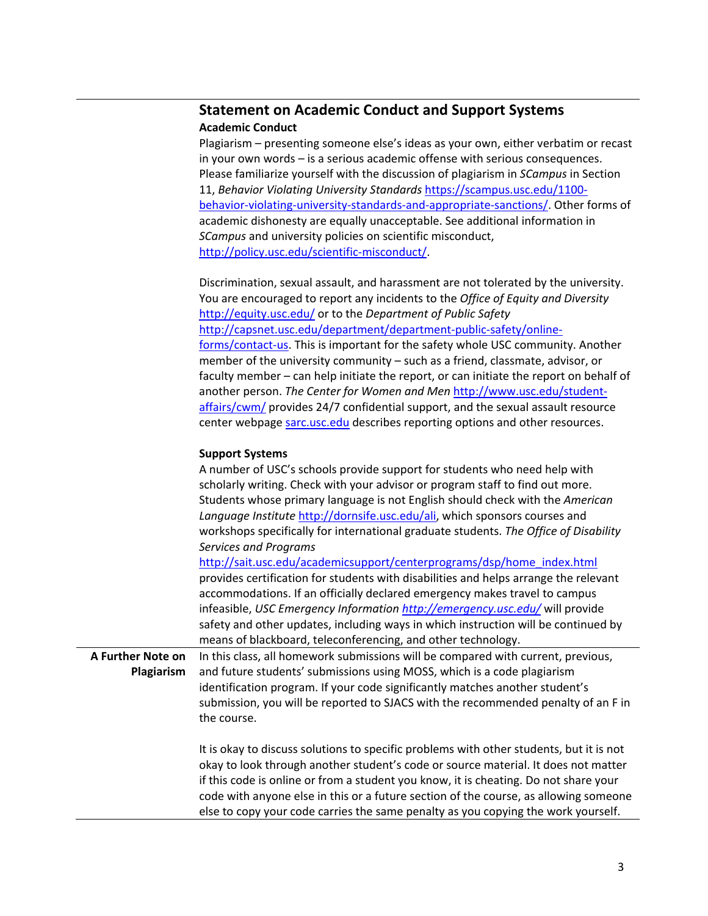# **Statement on Academic Conduct and Support Systems Academic Conduct**

Plagiarism – presenting someone else's ideas as your own, either verbatim or recast in your own words – is a serious academic offense with serious consequences. Please familiarize yourself with the discussion of plagiarism in *SCampus* in Section 11, *Behavior Violating University Standards* [https://scampus.usc.edu/1100](https://scampus.usc.edu/1100-behavior-violating-university-standards-and-appropriate-sanctions/) [behavior-violating-university-standards-and-appropriate-sanctions/.](https://scampus.usc.edu/1100-behavior-violating-university-standards-and-appropriate-sanctions/) Other forms of academic dishonesty are equally unacceptable. See additional information in *SCampus* and university policies on scientific misconduct, [http://policy.usc.edu/scientific-misconduct/.](http://policy.usc.edu/scientific-misconduct/)

Discrimination, sexual assault, and harassment are not tolerated by the university. You are encouraged to report any incidents to the *Office of Equity and Diversity*  <http://equity.usc.edu/> or to the *Department of Public Safety*  [http://capsnet.usc.edu/department/department-public-safety/online](http://capsnet.usc.edu/department/department-public-safety/online-forms/contact-us)[forms/contact-us.](http://capsnet.usc.edu/department/department-public-safety/online-forms/contact-us) This is important for the safety whole USC community. Another member of the university community – such as a friend, classmate, advisor, or faculty member – can help initiate the report, or can initiate the report on behalf of another person. *The Center for Women and Men* [http://www.usc.edu/student](http://www.usc.edu/student-affairs/cwm/)[affairs/cwm/](http://www.usc.edu/student-affairs/cwm/) provides 24/7 confidential support, and the sexual assault resource center webpage [sarc.usc.edu](http://sarc.usc.edu/) describes reporting options and other resources.

# **Support Systems**

|                   | A number of USC's schools provide support for students who need help with<br>scholarly writing. Check with your advisor or program staff to find out more.<br>Students whose primary language is not English should check with the American<br>Language Institute http://dornsife.usc.edu/ali, which sponsors courses and<br>workshops specifically for international graduate students. The Office of Disability<br>Services and Programs<br>http://sait.usc.edu/academicsupport/centerprograms/dsp/home_index.html<br>provides certification for students with disabilities and helps arrange the relevant |
|-------------------|--------------------------------------------------------------------------------------------------------------------------------------------------------------------------------------------------------------------------------------------------------------------------------------------------------------------------------------------------------------------------------------------------------------------------------------------------------------------------------------------------------------------------------------------------------------------------------------------------------------|
|                   | accommodations. If an officially declared emergency makes travel to campus                                                                                                                                                                                                                                                                                                                                                                                                                                                                                                                                   |
|                   | infeasible, USC Emergency Information http://emergency.usc.edu/ will provide                                                                                                                                                                                                                                                                                                                                                                                                                                                                                                                                 |
|                   | safety and other updates, including ways in which instruction will be continued by                                                                                                                                                                                                                                                                                                                                                                                                                                                                                                                           |
| A Further Note on | means of blackboard, teleconferencing, and other technology.<br>In this class, all homework submissions will be compared with current, previous,                                                                                                                                                                                                                                                                                                                                                                                                                                                             |
| Plagiarism        | and future students' submissions using MOSS, which is a code plagiarism                                                                                                                                                                                                                                                                                                                                                                                                                                                                                                                                      |
|                   | identification program. If your code significantly matches another student's                                                                                                                                                                                                                                                                                                                                                                                                                                                                                                                                 |
|                   | submission, you will be reported to SJACS with the recommended penalty of an F in<br>the course.                                                                                                                                                                                                                                                                                                                                                                                                                                                                                                             |
|                   | It is okay to discuss solutions to specific problems with other students, but it is not<br>okay to look through another student's code or source material. It does not matter<br>if this code is online or from a student you know, it is cheating. Do not share your<br>code with anyone else in this or a future section of the course, as allowing someone<br>else to copy your code carries the same penalty as you copying the work yourself.                                                                                                                                                           |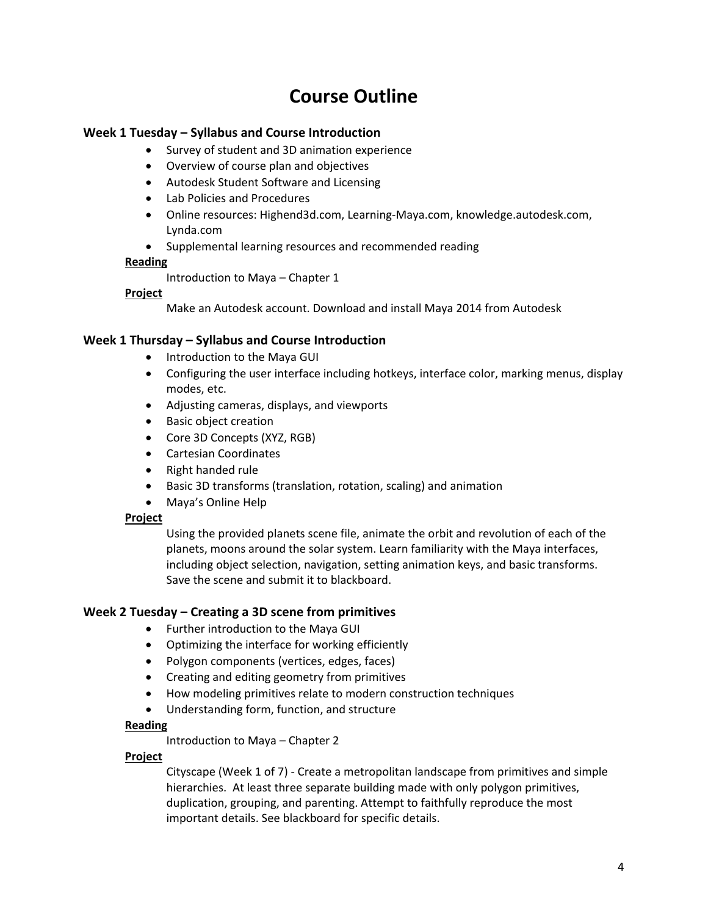# **Course Outline**

# **Week 1 Tuesday – Syllabus and Course Introduction**

- Survey of student and 3D animation experience
- Overview of course plan and objectives
- Autodesk Student Software and Licensing
- Lab Policies and Procedures
- Online resources: Highend3d.com, Learning-Maya.com, knowledge.autodesk.com, Lynda.com
- Supplemental learning resources and recommended reading

# **Reading**

Introduction to Maya – Chapter 1

# **Project**

Make an Autodesk account. Download and install Maya 2014 from Autodesk

# **Week 1 Thursday – Syllabus and Course Introduction**

- Introduction to the Maya GUI
- Configuring the user interface including hotkeys, interface color, marking menus, display modes, etc.
- Adjusting cameras, displays, and viewports
- Basic object creation
- Core 3D Concepts (XYZ, RGB)
- Cartesian Coordinates
- Right handed rule
- Basic 3D transforms (translation, rotation, scaling) and animation
- Maya's Online Help

### **Project**

Using the provided planets scene file, animate the orbit and revolution of each of the planets, moons around the solar system. Learn familiarity with the Maya interfaces, including object selection, navigation, setting animation keys, and basic transforms. Save the scene and submit it to blackboard.

# **Week 2 Tuesday – Creating a 3D scene from primitives**

- Further introduction to the Maya GUI
- Optimizing the interface for working efficiently
- Polygon components (vertices, edges, faces)
- Creating and editing geometry from primitives
- How modeling primitives relate to modern construction techniques
- Understanding form, function, and structure

# **Reading**

Introduction to Maya – Chapter 2

# **Project**

Cityscape (Week 1 of 7) - Create a metropolitan landscape from primitives and simple hierarchies. At least three separate building made with only polygon primitives, duplication, grouping, and parenting. Attempt to faithfully reproduce the most important details. See blackboard for specific details.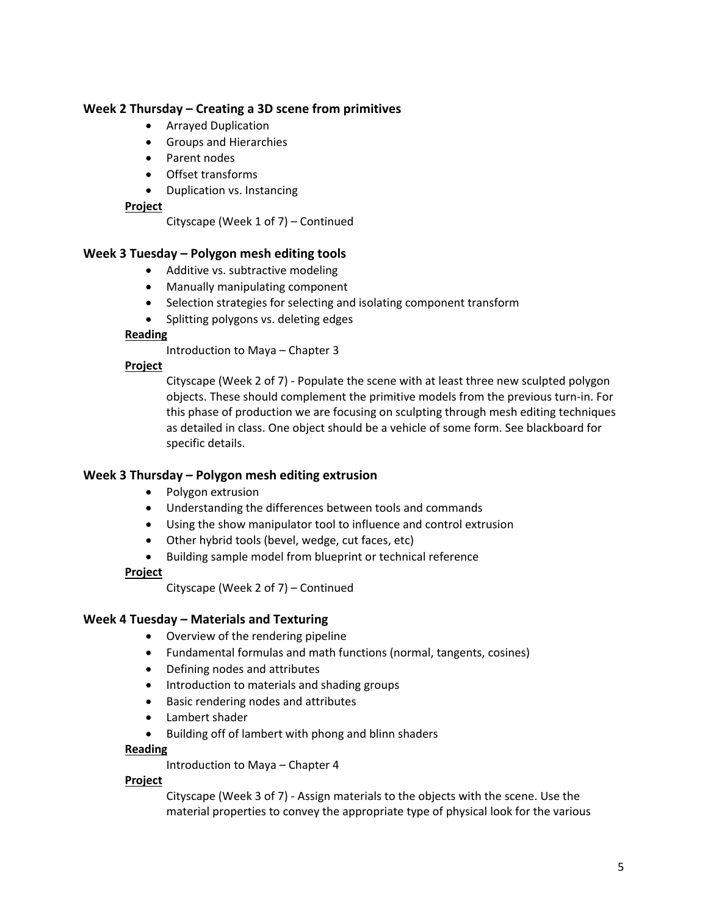# **Week 2 Thursday – Creating a 3D scene from primitives**

- Arrayed Duplication
- Groups and Hierarchies
- Parent nodes
- Offset transforms
- Duplication vs. Instancing

### **Project**

Cityscape (Week 1 of 7) – Continued

# **Week 3 Tuesday – Polygon mesh editing tools**

- Additive vs. subtractive modeling
- Manually manipulating component
- Selection strategies for selecting and isolating component transform
- Splitting polygons vs. deleting edges

### **Reading**

Introduction to Maya – Chapter 3

### **Project**

Cityscape (Week 2 of 7) - Populate the scene with at least three new sculpted polygon objects. These should complement the primitive models from the previous turn-in. For this phase of production we are focusing on sculpting through mesh editing techniques as detailed in class. One object should be a vehicle of some form. See blackboard for specific details.

### **Week 3 Thursday – Polygon mesh editing extrusion**

- Polygon extrusion
- Understanding the differences between tools and commands
- Using the show manipulator tool to influence and control extrusion
- Other hybrid tools (bevel, wedge, cut faces, etc)
- Building sample model from blueprint or technical reference

### **Project**

Cityscape (Week 2 of 7) – Continued

### **Week 4 Tuesday – Materials and Texturing**

- Overview of the rendering pipeline
- Fundamental formulas and math functions (normal, tangents, cosines)
- Defining nodes and attributes
- Introduction to materials and shading groups
- Basic rendering nodes and attributes
- Lambert shader
- Building off of lambert with phong and blinn shaders

### **Reading**

Introduction to Maya – Chapter 4

### **Project**

Cityscape (Week 3 of 7) - Assign materials to the objects with the scene. Use the material properties to convey the appropriate type of physical look for the various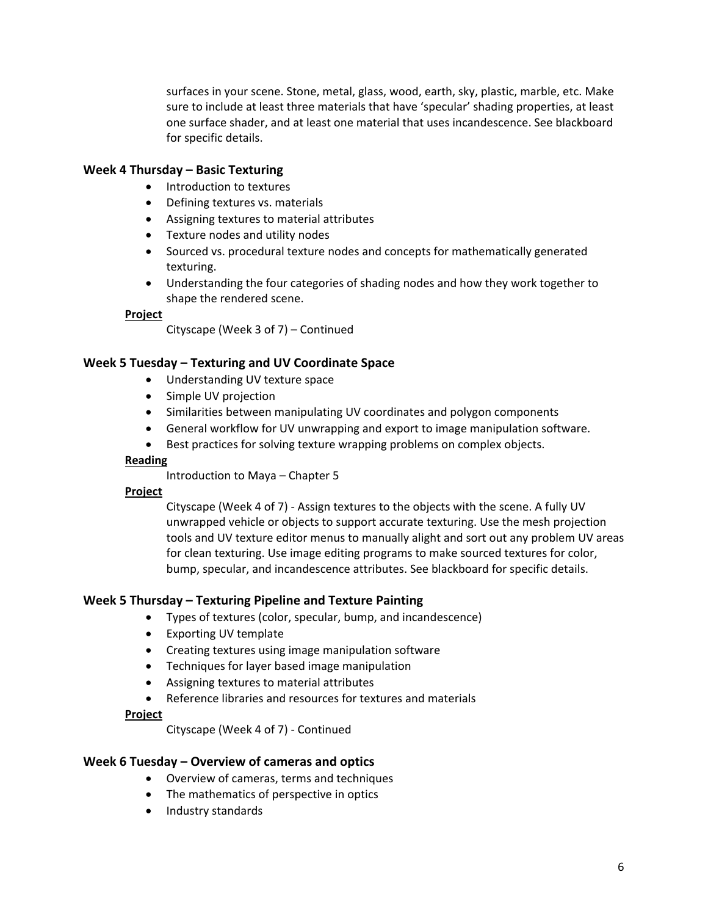surfaces in your scene. Stone, metal, glass, wood, earth, sky, plastic, marble, etc. Make sure to include at least three materials that have 'specular' shading properties, at least one surface shader, and at least one material that uses incandescence. See blackboard for specific details.

# **Week 4 Thursday – Basic Texturing**

- Introduction to textures
- Defining textures vs. materials
- Assigning textures to material attributes
- Texture nodes and utility nodes
- Sourced vs. procedural texture nodes and concepts for mathematically generated texturing.
- Understanding the four categories of shading nodes and how they work together to shape the rendered scene.

### **Project**

Cityscape (Week 3 of 7) – Continued

# **Week 5 Tuesday – Texturing and UV Coordinate Space**

- Understanding UV texture space
- Simple UV projection
- Similarities between manipulating UV coordinates and polygon components
- General workflow for UV unwrapping and export to image manipulation software.
- Best practices for solving texture wrapping problems on complex objects.

### **Reading**

Introduction to Maya – Chapter 5

### **Project**

Cityscape (Week 4 of 7) - Assign textures to the objects with the scene. A fully UV unwrapped vehicle or objects to support accurate texturing. Use the mesh projection tools and UV texture editor menus to manually alight and sort out any problem UV areas for clean texturing. Use image editing programs to make sourced textures for color, bump, specular, and incandescence attributes. See blackboard for specific details.

### **Week 5 Thursday – Texturing Pipeline and Texture Painting**

- Types of textures (color, specular, bump, and incandescence)
- Exporting UV template
- Creating textures using image manipulation software
- Techniques for layer based image manipulation
- Assigning textures to material attributes
- Reference libraries and resources for textures and materials

### **Project**

Cityscape (Week 4 of 7) - Continued

### **Week 6 Tuesday – Overview of cameras and optics**

- Overview of cameras, terms and techniques
- The mathematics of perspective in optics
- Industry standards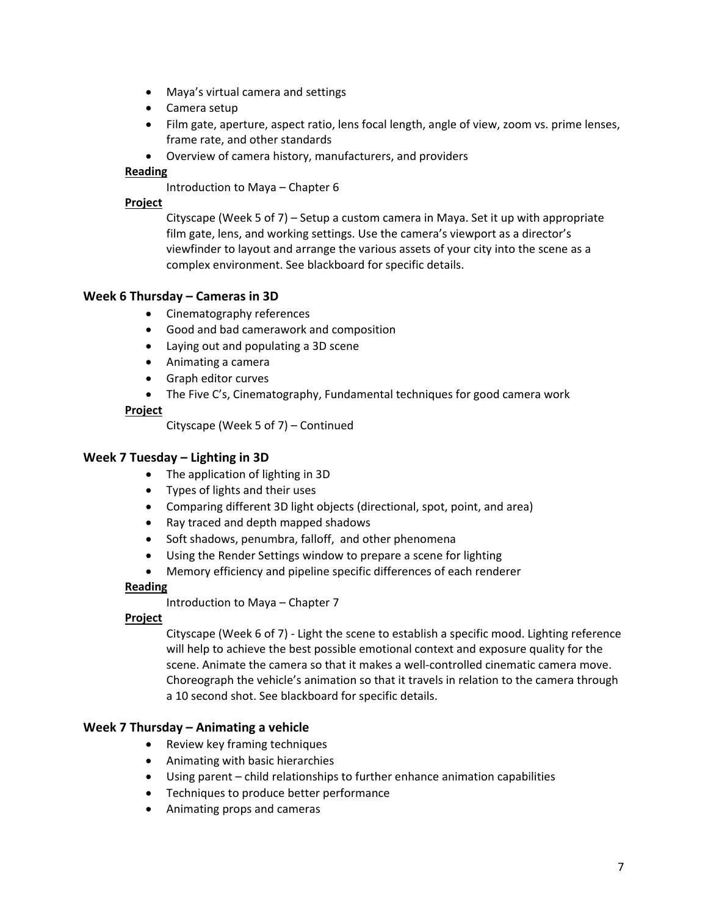- Maya's virtual camera and settings
- Camera setup
- Film gate, aperture, aspect ratio, lens focal length, angle of view, zoom vs. prime lenses, frame rate, and other standards
- Overview of camera history, manufacturers, and providers

# **Reading**

Introduction to Maya – Chapter 6

### **Project**

Cityscape (Week 5 of 7) – Setup a custom camera in Maya. Set it up with appropriate film gate, lens, and working settings. Use the camera's viewport as a director's viewfinder to layout and arrange the various assets of your city into the scene as a complex environment. See blackboard for specific details.

# **Week 6 Thursday – Cameras in 3D**

- Cinematography references
- Good and bad camerawork and composition
- Laying out and populating a 3D scene
- Animating a camera
- Graph editor curves
- The Five C's, Cinematography, Fundamental techniques for good camera work

### **Project**

Cityscape (Week 5 of 7) – Continued

# **Week 7 Tuesday – Lighting in 3D**

- The application of lighting in 3D
- Types of lights and their uses
- Comparing different 3D light objects (directional, spot, point, and area)
- Ray traced and depth mapped shadows
- Soft shadows, penumbra, falloff, and other phenomena
- Using the Render Settings window to prepare a scene for lighting
- Memory efficiency and pipeline specific differences of each renderer

# **Reading**

Introduction to Maya – Chapter 7

### **Project**

Cityscape (Week 6 of 7) - Light the scene to establish a specific mood. Lighting reference will help to achieve the best possible emotional context and exposure quality for the scene. Animate the camera so that it makes a well-controlled cinematic camera move. Choreograph the vehicle's animation so that it travels in relation to the camera through a 10 second shot. See blackboard for specific details.

# **Week 7 Thursday – Animating a vehicle**

- Review key framing techniques
- Animating with basic hierarchies
- Using parent child relationships to further enhance animation capabilities
- Techniques to produce better performance
- Animating props and cameras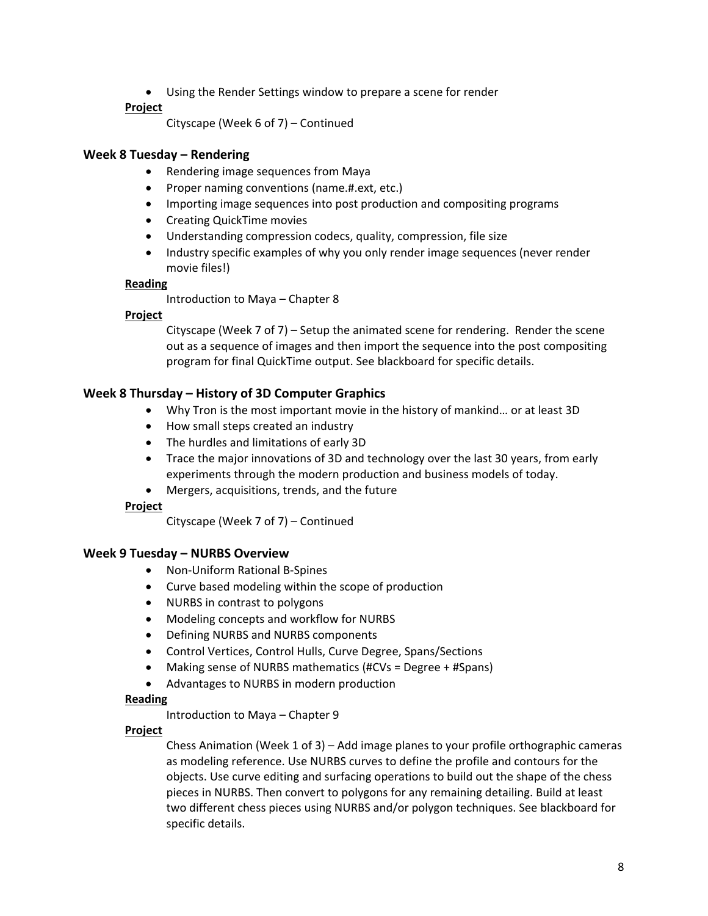• Using the Render Settings window to prepare a scene for render

# **Project**

```
Cityscape (Week 6 of 7) – Continued
```
# **Week 8 Tuesday – Rendering**

- Rendering image sequences from Maya
- Proper naming conventions (name.#.ext, etc.)
- Importing image sequences into post production and compositing programs
- Creating QuickTime movies
- Understanding compression codecs, quality, compression, file size
- Industry specific examples of why you only render image sequences (never render movie files!)

# **Reading**

Introduction to Maya – Chapter 8

# **Project**

Cityscape (Week 7 of 7) – Setup the animated scene for rendering. Render the scene out as a sequence of images and then import the sequence into the post compositing program for final QuickTime output. See blackboard for specific details.

# **Week 8 Thursday – History of 3D Computer Graphics**

- Why Tron is the most important movie in the history of mankind… or at least 3D
- How small steps created an industry
- The hurdles and limitations of early 3D
- Trace the major innovations of 3D and technology over the last 30 years, from early experiments through the modern production and business models of today.
- Mergers, acquisitions, trends, and the future

# **Project**

Cityscape (Week 7 of 7) – Continued

# **Week 9 Tuesday – NURBS Overview**

- Non-Uniform Rational B-Spines
- Curve based modeling within the scope of production
- NURBS in contrast to polygons
- Modeling concepts and workflow for NURBS
- Defining NURBS and NURBS components
- Control Vertices, Control Hulls, Curve Degree, Spans/Sections
- Making sense of NURBS mathematics (#CVs = Degree + #Spans)
- Advantages to NURBS in modern production

# **Reading**

Introduction to Maya – Chapter 9

# **Project**

Chess Animation (Week 1 of 3) – Add image planes to your profile orthographic cameras as modeling reference. Use NURBS curves to define the profile and contours for the objects. Use curve editing and surfacing operations to build out the shape of the chess pieces in NURBS. Then convert to polygons for any remaining detailing. Build at least two different chess pieces using NURBS and/or polygon techniques. See blackboard for specific details.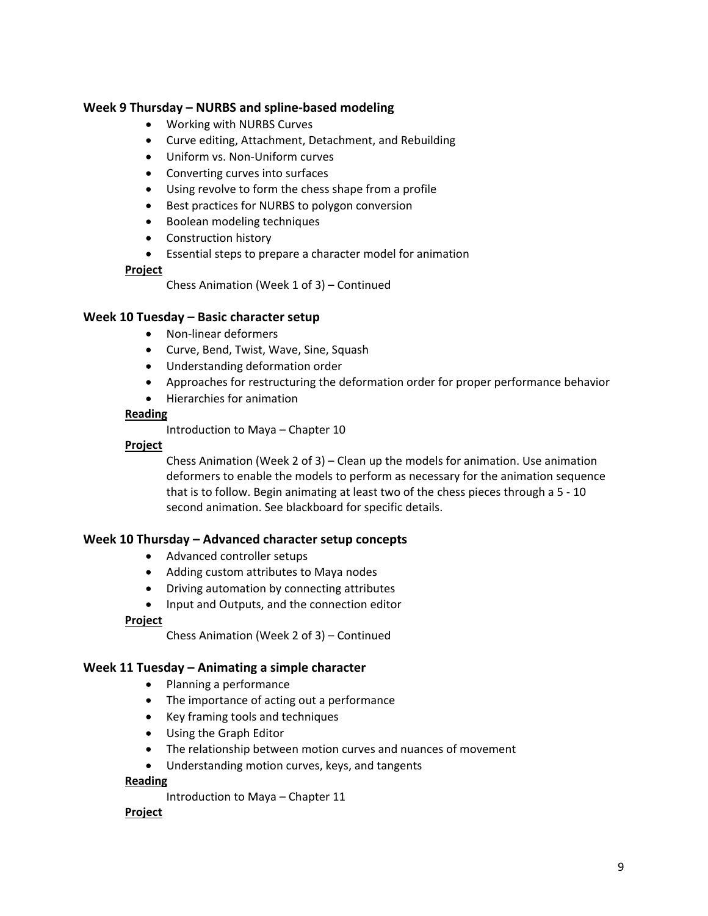# **Week 9 Thursday – NURBS and spline-based modeling**

- Working with NURBS Curves
- Curve editing, Attachment, Detachment, and Rebuilding
- Uniform vs. Non-Uniform curves
- Converting curves into surfaces
- Using revolve to form the chess shape from a profile
- Best practices for NURBS to polygon conversion
- Boolean modeling techniques
- Construction history
- Essential steps to prepare a character model for animation

#### **Project**

Chess Animation (Week 1 of 3) – Continued

### **Week 10 Tuesday – Basic character setup**

- Non-linear deformers
- Curve, Bend, Twist, Wave, Sine, Squash
- Understanding deformation order
- Approaches for restructuring the deformation order for proper performance behavior
- Hierarchies for animation

#### **Reading**

Introduction to Maya – Chapter 10

#### **Project**

Chess Animation (Week 2 of 3) – Clean up the models for animation. Use animation deformers to enable the models to perform as necessary for the animation sequence that is to follow. Begin animating at least two of the chess pieces through a 5 - 10 second animation. See blackboard for specific details.

### **Week 10 Thursday – Advanced character setup concepts**

- Advanced controller setups
- Adding custom attributes to Maya nodes
- Driving automation by connecting attributes
- Input and Outputs, and the connection editor

### **Project**

Chess Animation (Week 2 of 3) – Continued

### **Week 11 Tuesday – Animating a simple character**

- Planning a performance
- The importance of acting out a performance
- Key framing tools and techniques
- Using the Graph Editor
- The relationship between motion curves and nuances of movement
- Understanding motion curves, keys, and tangents

#### **Reading**

Introduction to Maya – Chapter 11

### **Project**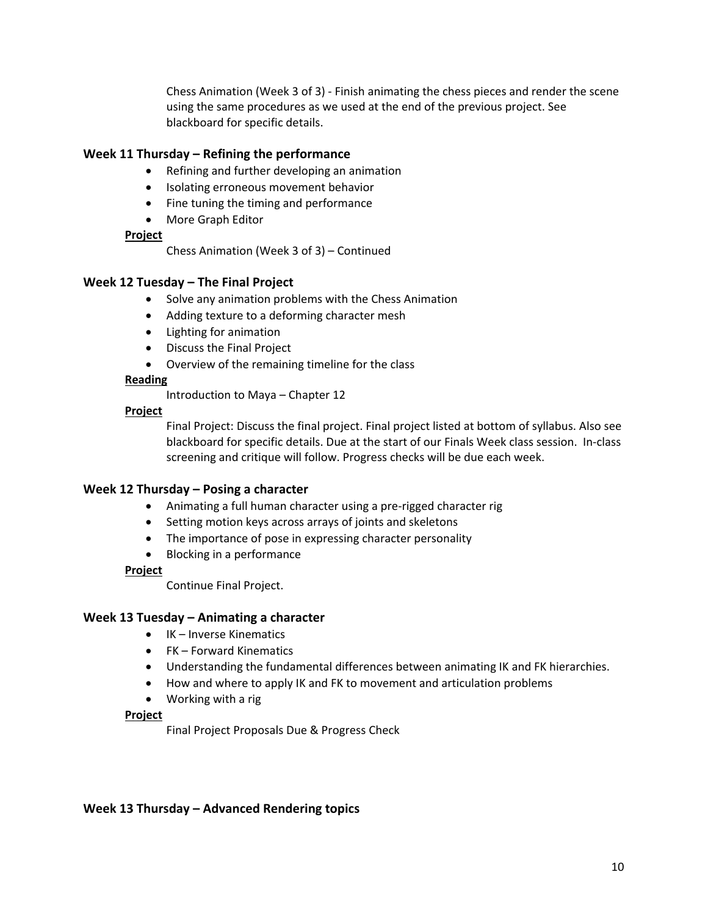Chess Animation (Week 3 of 3) - Finish animating the chess pieces and render the scene using the same procedures as we used at the end of the previous project. See blackboard for specific details.

# **Week 11 Thursday – Refining the performance**

- Refining and further developing an animation
- Isolating erroneous movement behavior
- Fine tuning the timing and performance
- More Graph Editor

# **Project**

Chess Animation (Week 3 of 3) – Continued

# **Week 12 Tuesday – The Final Project**

- Solve any animation problems with the Chess Animation
- Adding texture to a deforming character mesh
- Lighting for animation
- Discuss the Final Project
- Overview of the remaining timeline for the class

# **Reading**

Introduction to Maya – Chapter 12

# **Project**

Final Project: Discuss the final project. Final project listed at bottom of syllabus. Also see blackboard for specific details. Due at the start of our Finals Week class session. In-class screening and critique will follow. Progress checks will be due each week.

# **Week 12 Thursday – Posing a character**

- Animating a full human character using a pre-rigged character rig
- Setting motion keys across arrays of joints and skeletons
- The importance of pose in expressing character personality
- Blocking in a performance

# **Project**

Continue Final Project.

# **Week 13 Tuesday – Animating a character**

- IK Inverse Kinematics
- FK Forward Kinematics
- Understanding the fundamental differences between animating IK and FK hierarchies.
- How and where to apply IK and FK to movement and articulation problems
- Working with a rig

### **Project**

Final Project Proposals Due & Progress Check

# **Week 13 Thursday – Advanced Rendering topics**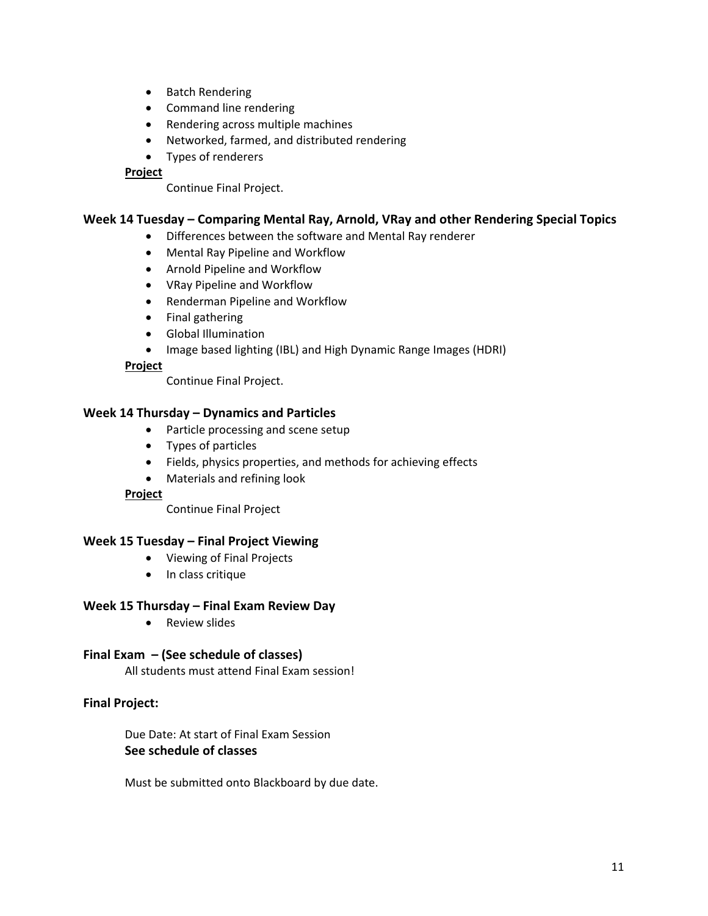- Batch Rendering
- Command line rendering
- Rendering across multiple machines
- Networked, farmed, and distributed rendering
- Types of renderers

### **Project**

Continue Final Project.

# **Week 14 Tuesday – Comparing Mental Ray, Arnold, VRay and other Rendering Special Topics**

- Differences between the software and Mental Ray renderer
- Mental Ray Pipeline and Workflow
- Arnold Pipeline and Workflow
- VRay Pipeline and Workflow
- Renderman Pipeline and Workflow
- Final gathering
- Global Illumination
- Image based lighting (IBL) and High Dynamic Range Images (HDRI)

### **Project**

Continue Final Project.

### **Week 14 Thursday – Dynamics and Particles**

- Particle processing and scene setup
- Types of particles
- Fields, physics properties, and methods for achieving effects
- Materials and refining look

### **Project**

Continue Final Project

# **Week 15 Tuesday – Final Project Viewing**

- Viewing of Final Projects
- In class critique

### **Week 15 Thursday – Final Exam Review Day**

• Review slides

### **Final Exam – (See schedule of classes)**

All students must attend Final Exam session!

### **Final Project:**

Due Date: At start of Final Exam Session **See schedule of classes**

Must be submitted onto Blackboard by due date.